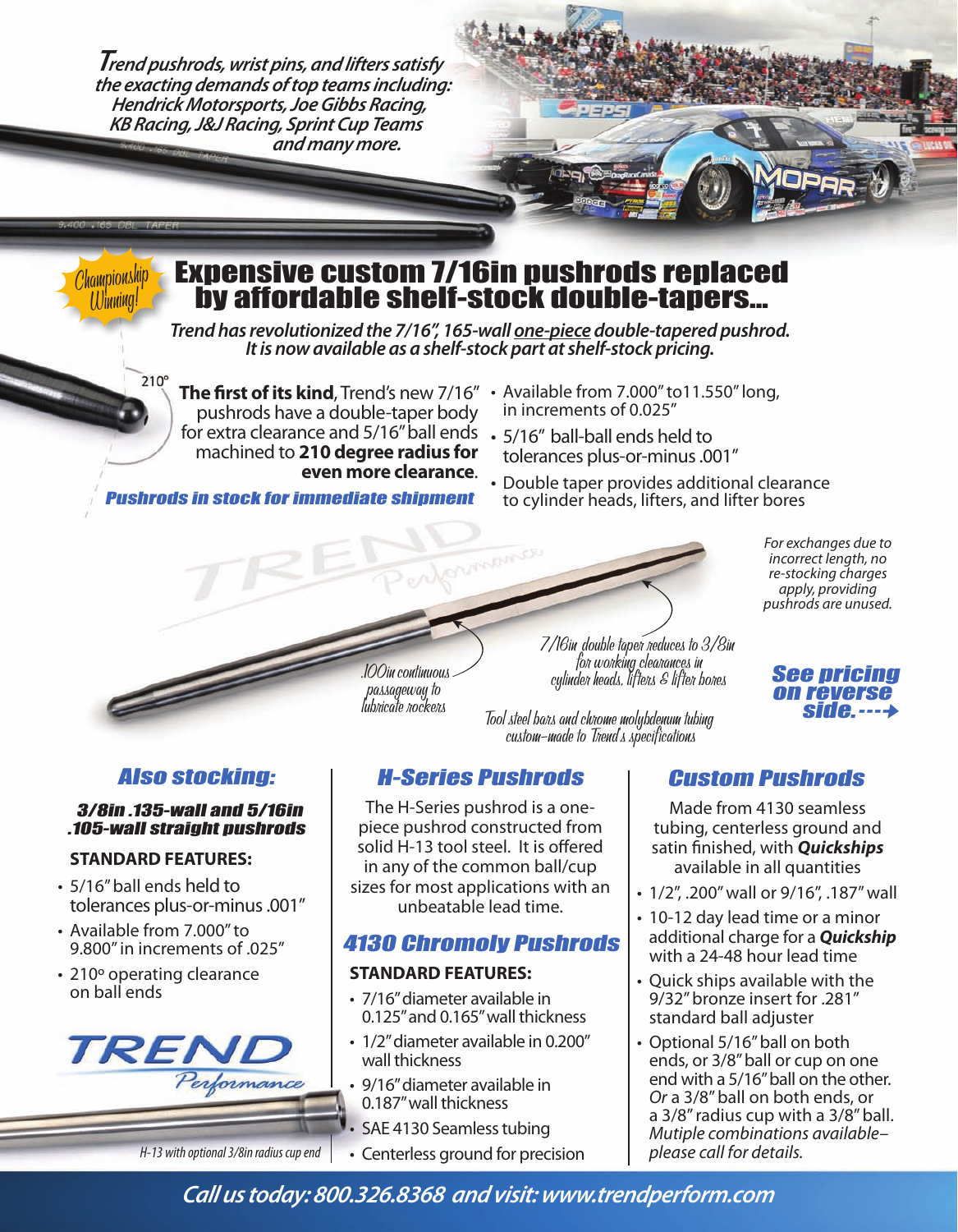*Trend pushrods, wrist pins, and lifters satisfy the exacting demands of top teams including: Hendrick Motorsports, Joe Gibbs Racing, KB Racing, J&J Racing, Sprint Cup Teams and many more.*

# Expensive custom 7/16in pushrods replaced by affordable shelf-stock double-tapers...

*Trend has revolutionized the 7/16", 165-wall one-piece double-tapered pushrod. It is now available as a shelf-stock part at shelf-stock pricing.*

**RADMACE** 

**The first of its kind**, Trend's new 7/16" • Available from 7.000" to11.550" long, pushrods have a double-taper body for extra clearance and 5/16" ball ends  $\cdot$  5/16" ball-ball ends held to machined to 210 degree radius for **even more clearance**. 

Pushrods in stock for immediate shipment

- in increments of 0.025"
- tolerances plus-or-minus .001"
- Double taper provides additional clearance to cylinder heads, lifters, and lifter bores

*For exchanges due to incorrect length, no re-stocking charges apply, providing pushrods are unused.*

### Also stocking:

### 3/8in .135-wall and 5/16in .105-wall straight pushrods

### **STANDARD FEATURES:**

Championship Winning!

 $210^{\circ}$ 

- 5/16" ball ends held to tolerances plus-or-minus .001"
- Available from 7.000" to 9.800" in increments of .025"
- 210° operating clearance on ball ends



.100in continuous passageway to lubricate rockers

7/16in double taper reduces to 3/8in<br>for working clearances in<br>cylinder heads, lifters & lifter bores

Tool steel bars and chrome molybdenum tubing custom-made to Trend's specifications

## H-Series Pushrods Custom Pushrods

The H-Series pushrod is a onepiece pushrod constructed from solid H-13 tool steel. It is offered in any of the common ball/cup sizes for most applications with an unbeatable lead time.

### 4130 Chromoly Pushrods

### **STANDARD FEATURES:**

- 7/16" diameter available in 0.125" and 0.165" wall thickness
- 1/2" diameter available in 0.200" wall thickness
- 9/16" diameter available in 0.187" wall thickness
- SAE 4130 Seamless tubing
- *H-13 with optional 3/8in radius cup end*  $\cdot$  Centerless ground for precision

See pricing on reverse side. $\cdots\rightarrow$ 

Made from 4130 seamless tubing, centerless ground and satin finished, with **Quickships** available in all quantities

- $\cdot$  1/2", .200" wall or 9/16", .187" wall
- 10-12 day lead time or a minor additional charge for a **Quickship** with a 24-48 hour lead time
- $\cdot$  Ouick ships available with the 9/32" bronze insert for .281" standard ball adjuster
- Optional 5/16" ball on both ends, or 3/8" ball or cup on one end with a 5/16" ball on the other. *Or* a 3/8" ball on both ends, or a 3/8" radius cup with a 3/8" ball. *Mutiple combinations available– please call for details.*

*Call us today: 800.326.8368 and visit: www.trendperform.com*